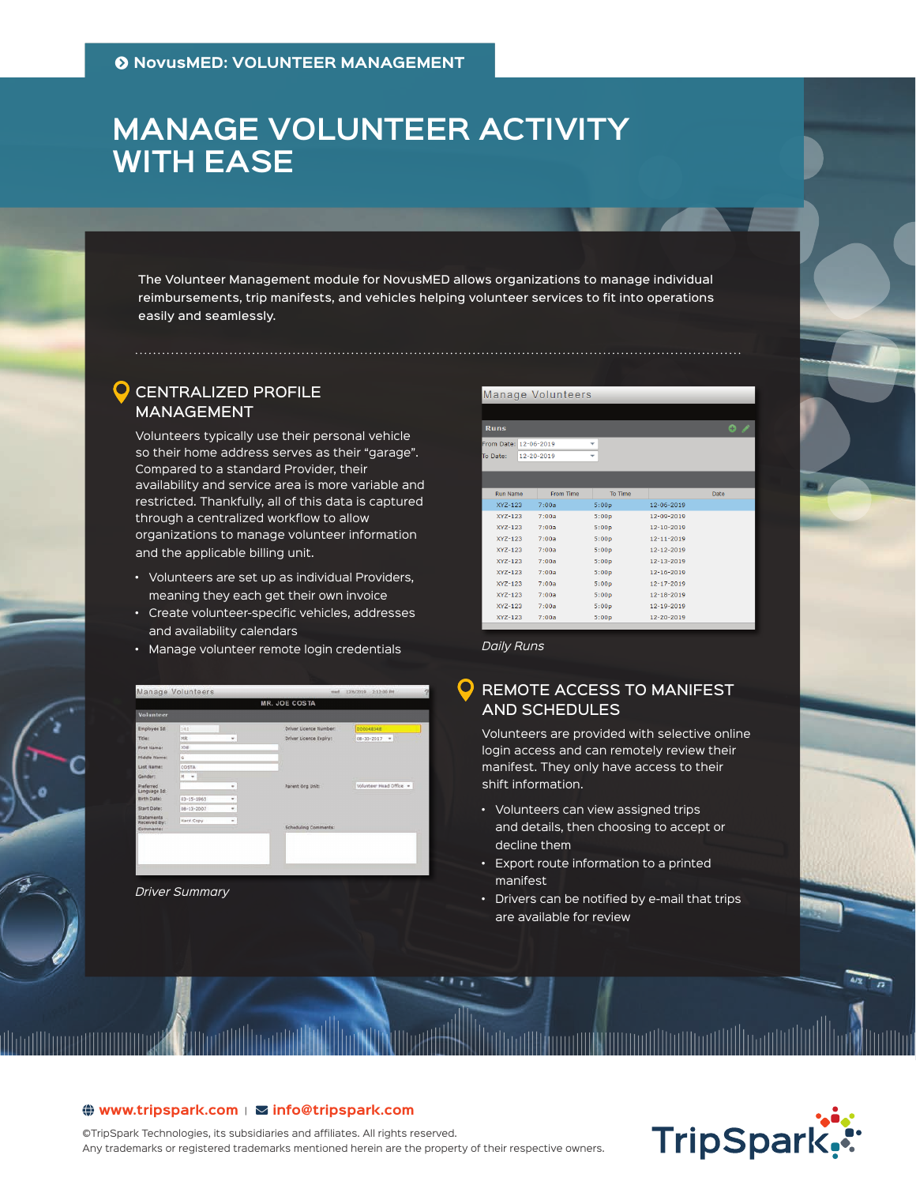# **MANAGE VOLUNTEER ACTIVITY WITH EASE**

The Volunteer Management module for NovusMED allows organizations to manage individual reimbursements, trip manifests, and vehicles helping volunteer services to fit into operations easily and seamlessly.

# **O** CENTRALIZED PROFILE MANAGEMENT

Volunteers typically use their personal vehicle so their home address serves as their "garage". Compared to a standard Provider, their availability and service area is more variable and restricted. Thankfully, all of this data is captured through a centralized workflow to allow organizations to manage volunteer information and the applicable billing unit.

- Volunteers are set up as individual Providers, meaning they each get their own invoice
- Create volunteer-specific vehicles, addresses and availability calendars
- Manage volunteer remote login credentials



*Driver Summary*

#### Manage Volunteers

m Date: 12-06-2019

| <b>Run Name</b> | From Time | To Time |                  | Date |
|-----------------|-----------|---------|------------------|------|
| XY7-123         | 7:00a     | 5:00p   | $12 - 06 - 2019$ |      |
| $XYZ-123$       | 7:00a     | 5:00p   | 12-09-2019       |      |
| $XYZ-123$       | 7:00a     | 5:00p   | 12-10-2019       |      |
| $XYZ-123$       | 7:00a     | 5:00p   | 12-11-2019       |      |
| $XYZ-123$       | 7:00a     | 5:00p   | 12-12-2019       |      |
| $XYZ-123$       | 7:00a     | 5:00p   | 12-13-2019       |      |
| $XYZ-123$       | 7:00a     | 5:00p   | 12-16-2019       |      |
| $XYZ-123$       | 7:00a     | 5:00p   | 12-17-2019       |      |
| $XYZ-123$       | 7:00a     | 5:00p   | 12-18-2019       |      |
| $XYZ-123$       | 7:00a     | 5:00p   | 12-19-2019       |      |
| $XYZ-123$       | 7:00a     | 5:00p   | 12-20-2019       |      |
|                 |           |         |                  |      |

*Daily Runs*

# REMOTE ACCESS TO MANIFEST AND SCHEDULES

Volunteers are provided with selective online login access and can remotely review their manifest. They only have access to their shift information.

- Volunteers can view assigned trips and details, then choosing to accept or decline them
- Export route information to a printed manifest
- Drivers can be notified by e-mail that trips are available for review



## $\bigoplus$  www.tripspark.com |  $\Sigma$  info@ tripspark.com

©TripSpark Technologies, its subsidiaries and affiliates. All rights reserved. Any trademarks or registered trademarks mentioned herein are the property of their respective owners.